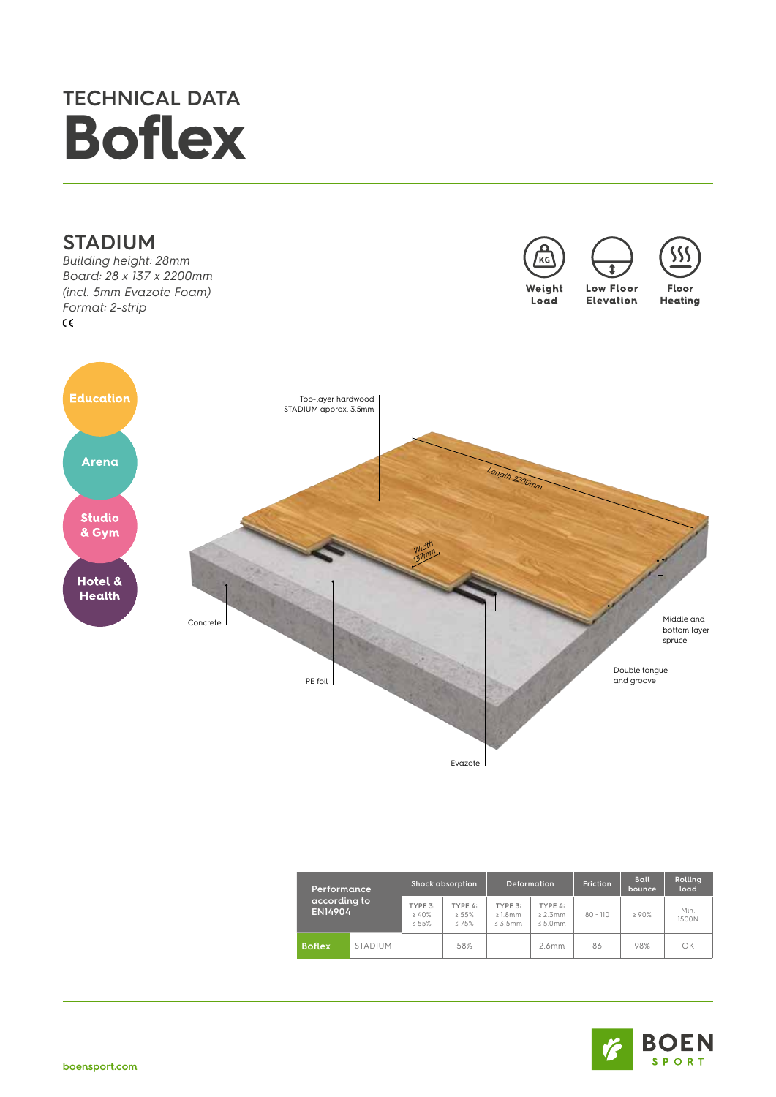## **TECHNICAL DATA Boflex**



Evazote

| Performance,<br>according to<br>EN14904 |                | <b>Shock absorption</b>   |                              | <b>Deformation</b>                  |                                   | Friction   | <b>Ball</b><br>bounce | <b>Rolling</b><br>load |
|-----------------------------------------|----------------|---------------------------|------------------------------|-------------------------------------|-----------------------------------|------------|-----------------------|------------------------|
|                                         |                | TYPE 3:<br>240%<br>$55\%$ | TYPE 4:<br>255%<br>$< 7.5\%$ | TYPE 3:<br>$\geq 1.8$ mm<br>< 3.5mm | TYPE 4:<br>$\geq 2.3$ mm<br>5.0mm | $80 - 110$ | >90%                  | Min.<br>1500N          |
| <b>Boflex</b>                           | <b>STADIUM</b> |                           | 58%                          |                                     | 2.6mm                             | 86         | 98%                   | OK                     |